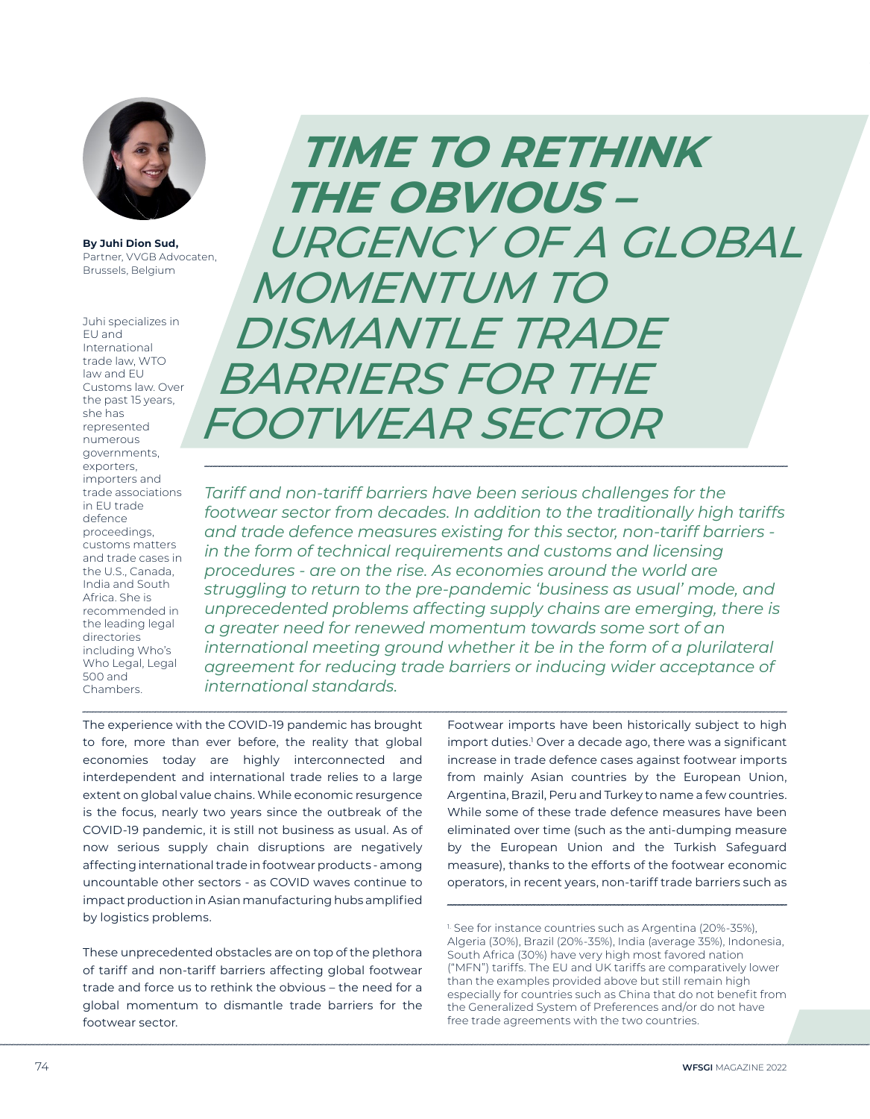

**By Juhi Dion Sud,**  Partner, VVGB Advocaten, Brussels, Belgium

Juhi specializes in EU and International trade law, WTO law and EU Customs law. Over the past 15 years, she has represented numerous governments, exporters, importers and trade associations in EU trade defence proceedings, customs matters and trade cases in the U.S., Canada, India and South Africa. She is recommended in the leading legal directories including Who's Who Legal, Legal 500 and Chambers.

**TIME TO RETHINK THE OBVIOUS –**  URGENCY OF A GLOBAL MOMENTUM TO DISMANTLE TRADE BARRIERS FOR THE FOOTWEAR SECTOR

*Tariff and non-tariff barriers have been serious challenges for the footwear sector from decades. In addition to the traditionally high tariffs and trade defence measures existing for this sector, non-tariff barriers in the form of technical requirements and customs and licensing procedures - are on the rise. As economies around the world are struggling to return to the pre-pandemic 'business as usual' mode, and unprecedented problems affecting supply chains are emerging, there is a greater need for renewed momentum towards some sort of an international meeting ground whether it be in the form of a plurilateral agreement for reducing trade barriers or inducing wider acceptance of international standards.* 

The experience with the COVID-19 pandemic has brought to fore, more than ever before, the reality that global economies today are highly interconnected and interdependent and international trade relies to a large extent on global value chains. While economic resurgence is the focus, nearly two years since the outbreak of the COVID-19 pandemic, it is still not business as usual. As of now serious supply chain disruptions are negatively affecting international trade in footwear products - among uncountable other sectors - as COVID waves continue to impact production in Asian manufacturing hubs amplified by logistics problems.

These unprecedented obstacles are on top of the plethora of tariff and non-tariff barriers affecting global footwear trade and force us to rethink the obvious – the need for a global momentum to dismantle trade barriers for the footwear sector.

Footwear imports have been historically subject to high import duties.1 Over a decade ago, there was a significant increase in trade defence cases against footwear imports from mainly Asian countries by the European Union, Argentina, Brazil, Peru and Turkey to name a few countries. While some of these trade defence measures have been eliminated over time (such as the anti-dumping measure by the European Union and the Turkish Safeguard measure), thanks to the efforts of the footwear economic operators, in recent years, non-tariff trade barriers such as

<sup>&</sup>lt;sup>1.</sup> See for instance countries such as Argentina (20%-35%), Algeria (30%), Brazil (20%-35%), India (average 35%), Indonesia, South Africa (30%) have very high most favored nation ("MFN") tariffs. The EU and UK tariffs are comparatively lower than the examples provided above but still remain high especially for countries such as China that do not benefit from the Generalized System of Preferences and/or do not have free trade agreements with the two countries.